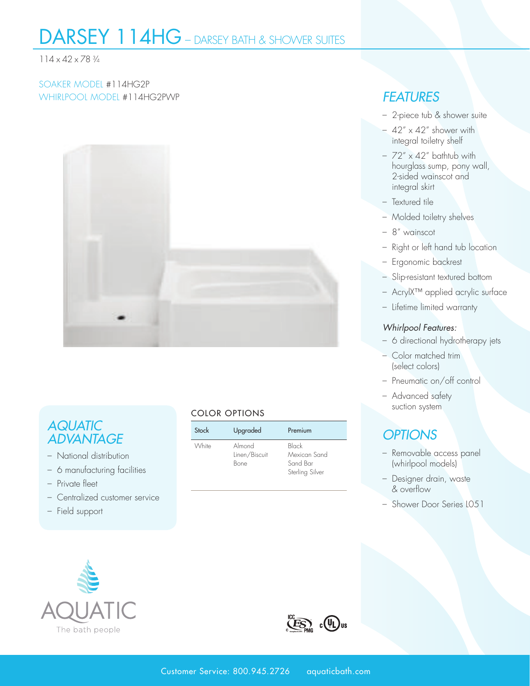## DARSEY 114HG – DARSEY BATH & SHOWER SUITES

#### 114 x 42 x 78 3⁄4

#### SOAKER MODEL #114HG2P WHIRLPOOL MODEL #114HG2PWP *FEATURES*



### *AQUATIC ADVANTAGE*

- National distribution
- 6 manufacturing facilities
- Private fleet
- Centralized customer service
- Field support

#### COLOR OPTIONS

| Stock | Upgraded                        | Premium                                              |  |  |
|-------|---------------------------------|------------------------------------------------------|--|--|
| White | Almond<br>Linen/Biscuit<br>Bone | Black<br>Mexican Sand<br>Sand Bar<br>Sterling Silver |  |  |

- 2-piece tub & shower suite
- $-42'' \times 42''$  shower with integral toiletry shelf
- $72'' \times 42''$  bathtub with hourglass sump, pony wall, 2-sided wainscot and integral skirt
- Textured tile
- Molded toiletry shelves
- 8" wainscot
- Right or left hand tub location
- Ergonomic backrest
- Slip-resistant textured bottom
- AcrylX™ applied acrylic surface
- Lifetime limited warranty

#### *Whirlpool Features:*

- 6 directional hydrotherapy jets
- Color matched trim (select colors)
- Pneumatic on/off control
- Advanced safety suction system

### *OPTIONS*

- Removable access panel (whirlpool models)
- Designer drain, waste & overflow
- Shower Door Series L051